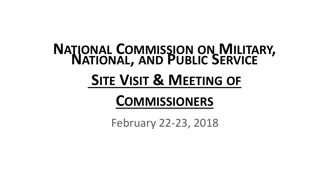# **<sup>N</sup>ATIONAL <sup>C</sup>OMMISSION ON <sup>M</sup>ILITARY, NATIONAL, AND <sup>P</sup>UBLIC <sup>S</sup>ERVICE SITE VISIT & MEETING OF**

### **COMMISSIONERS**

February 22-23, 2018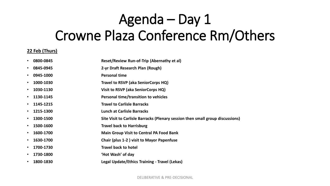### Agenda – Day 1 Crowne Plaza Conference Rm/Others

#### **22 Feb (Thurs)**

| $\bullet$ | 0800-0845 | Reset/Review Run-of-Trip (Abernathy et al)                                     |
|-----------|-----------|--------------------------------------------------------------------------------|
| $\bullet$ | 0845-0945 | 2-yr Draft Research Plan (Rough)                                               |
| $\bullet$ | 0945-1000 | <b>Personal time</b>                                                           |
| $\bullet$ | 1000-1030 | Travel to RSVP (aka SeniorCorps HQ)                                            |
| $\bullet$ | 1030-1130 | Visit to RSVP (aka SeniorCorps HQ)                                             |
| $\bullet$ | 1130-1145 | Personal time/transition to vehicles                                           |
| $\bullet$ | 1145-1215 | <b>Travel to Carlisle Barracks</b>                                             |
| $\bullet$ | 1215-1300 | <b>Lunch at Carlisle Barracks</b>                                              |
| $\bullet$ | 1300-1500 | Site Visit to Carlisle Barracks (Plenary session then small group discussions) |
| $\bullet$ | 1500-1600 | <b>Travel back to Harrisburg</b>                                               |
| $\bullet$ | 1600-1700 | <b>Main Group Visit to Central PA Food Bank</b>                                |
| $\bullet$ | 1630-1700 | Chair (plus 1-2) visit to Mayor Papenfuse                                      |
| $\bullet$ | 1700-1730 | <b>Travel back to hotel</b>                                                    |
| $\bullet$ | 1730-1800 | 'Hot Wash' of day                                                              |
| $\bullet$ | 1800-1830 | Legal Update/Ethics Training - Travel (Lekas)                                  |